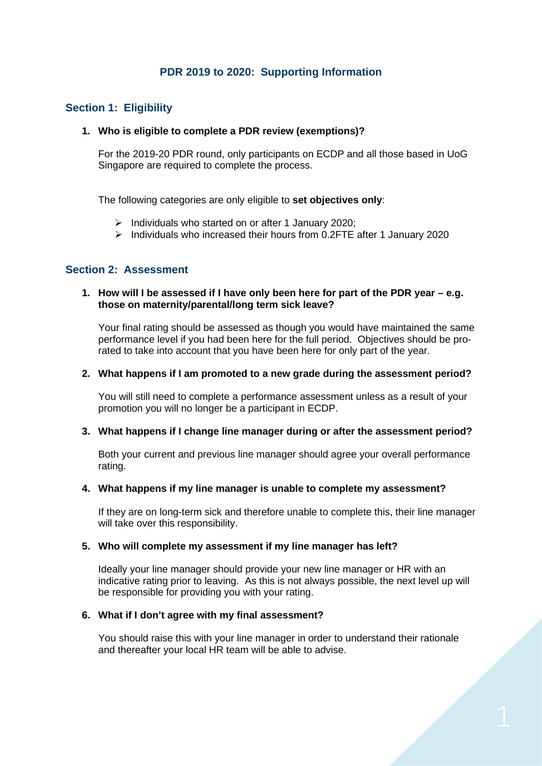## **PDR 2019 to 2020: Supporting Information**

## **Section 1: Eligibility**

### **1. Who is eligible to complete a PDR review (exemptions)?**

For the 2019-20 PDR round, only participants on ECDP and all those based in UoG Singapore are required to complete the process.

The following categories are only eligible to **set objectives only**:

- > Individuals who started on or after 1 January 2020;
- $\triangleright$  Individuals who increased their hours from 0.2FTE after 1 January 2020

## **Section 2: Assessment**

#### **1. How will I be assessed if I have only been here for part of the PDR year – e.g. those on maternity/parental/long term sick leave?**

Your final rating should be assessed as though you would have maintained the same performance level if you had been here for the full period. Objectives should be prorated to take into account that you have been here for only part of the year.

#### **2. What happens if I am promoted to a new grade during the assessment period?**

You will still need to complete a performance assessment unless as a result of your promotion you will no longer be a participant in ECDP.

#### **3. What happens if I change line manager during or after the assessment period?**

Both your current and previous line manager should agree your overall performance rating.

#### **4. What happens if my line manager is unable to complete my assessment?**

If they are on long-term sick and therefore unable to complete this, their line manager will take over this responsibility.

#### **5. Who will complete my assessment if my line manager has left?**

Ideally your line manager should provide your new line manager or HR with an indicative rating prior to leaving. As this is not always possible, the next level up will be responsible for providing you with your rating.

#### **6. What if I don't agree with my final assessment?**

You should raise this with your line manager in order to understand their rationale and thereafter your local HR team will be able to advise.